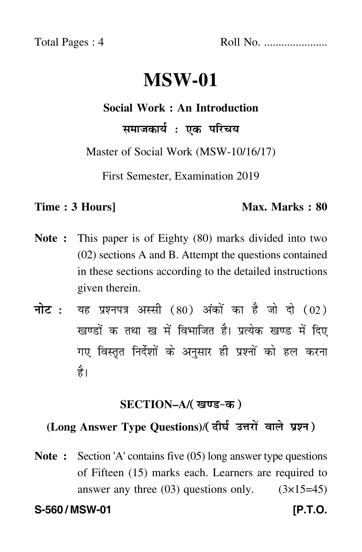Total Pages : 4 Roll No. ......................

# **MSW-01**

#### **Social Work : An Introduction**

समाजकार्य : एक परिचय

Master of Social Work (MSW-10/16/17)

First Semester, Examination 2019

#### **Time : 3 Hours]** Max. Marks : 80

- **Note :** This paper is of Eighty (80) marks divided into two (02) sections A and B. Attempt the questions contained in these sections according to the detailed instructions given therein.
- नोट : यह प्रश्नपत्र अस्सी (80) अंकों का है जो दो (02) खण्डों क तथा ख में विभाजित है। प्रत्येक खण्ड में दिए गए विस्तृत निर्देशों के अनुसार ही प्रश्नों को हल करन<mark>ा</mark> है।

#### **SECTION–A/**

## **(Long Answer Type Questions)**/

**Note :** Section 'A' contains five (05) long answer type questions of Fifteen (15) marks each. Learners are required to answer any three  $(03)$  questions only.  $(3\times15=45)$ **S-560 / MSW-01 [P.T.O.**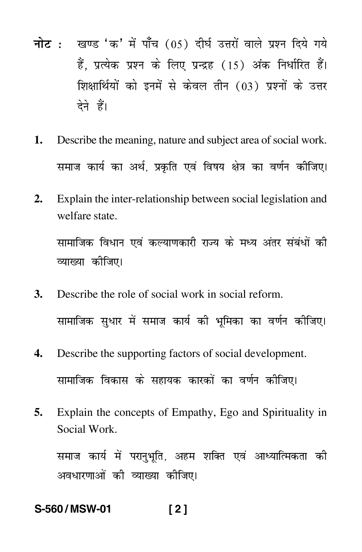- नोट : खण्ड 'क' में पाँच (05) दीर्घ उत्तरों वाले प्रश्न दिये गये हैं. प्रत्येक प्रश्न के लिए प्रन्द्रह (15) अंक निर्धारित हैं। शिक्षार्थियों को इनमें से केवल तीन (03) प्रश्नों के उत्तर देने हैं।
- 1. Describe the meaning, nature and subject area of social work. समाज कार्य का अर्थ, प्रकृति एवं विषय क्षेत्र का वर्णन कीजिए।
- $2.$ Explain the inter-relationship between social legislation and welfare state.

सामाजिक विधान एवं कल्याणकारी राज्य के मध्य अंतर संबंधों की व्याख्या कीजिए।

- Describe the role of social work in social reform. 3. सामाजिक सुधार में समाज कार्य की भूमिका का वर्णन कीजिए।
- $\overline{4}$ . Describe the supporting factors of social development. सामाजिक विकास के सहायक कारकों का वर्णन कीजिए।
- 5. Explain the concepts of Empathy, Ego and Spirituality in Social Work.

समाज कार्य में परानुभूति, अहम शक्ति एवं आध्यात्मिकता की अवधारणाओं की व्याख्या कीजिए।

#### S-560/MSW-01  $121$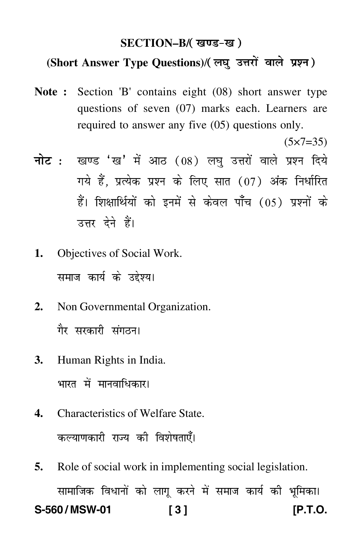#### **SECTION–B/**

### (Short Answer Type Questions)/(लघ उत्तरों वाले प्रश्न)

**Note :** Section 'B' contains eight (08) short answer type questions of seven (07) marks each. Learners are required to answer any five (05) questions only.

 $(5 \times 7 = 35)$ 

- <mark>नोट</mark> : खण्ड 'ख' में आठ (08) लघु उत्तरों वाले प्रश्न दिये गये हैं, प्रत्येक प्रश्न के लिए सात (07) अंक निर्धारित हैं। शिक्षार्थियों को इनमें से केवल पाँच (05) प्रश्नों के उत्तर देने हैं।
- **1.** Objectives of Social Work. समाज कार्य के उद्देश्य।
- **2.** Non Governmental Organization. गैर सरकारी संगठन।
- **3.** Human Rights in India. भारत में मानवाधिकार।
- **4.** Characteristics of Welfare State. कल्याणकारी राज्य की विशेषताएँ।
- **5.** Role of social work in implementing social legislation. सामाजिक विधानों को लागू करने में समाज कार्य की भूमिका। **S-560 / MSW-01 [ 3 ] [P.T.O.**